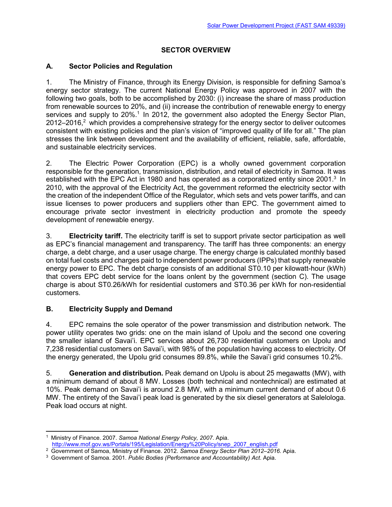## **SECTOR OVERVIEW**

## **A. Sector Policies and Regulation**

1. The Ministry of Finance, through its Energy Division, is responsible for defining Samoa's energy sector strategy. The current National Energy Policy was approved in 2007 with the following two goals, both to be accomplished by 2030: (i) increase the share of mass production from renewable sources to 20%, and (ii) increase the contribution of renewable energy to energy services and supply to 20%.<sup>1</sup> In 2012, the government also adopted the Energy Sector Plan,  $2012-2016$ ,  $2$  which provides a comprehensive strategy for the energy sector to deliver outcomes consistent with existing policies and the plan's vision of "improved quality of life for all." The plan stresses the link between development and the availability of efficient, reliable, safe, affordable, and sustainable electricity services.

2. The Electric Power Corporation (EPC) is a wholly owned government corporation responsible for the generation, transmission, distribution, and retail of electricity in Samoa. It was established with the EPC Act in 1980 and has operated as a corporatized entity since 2001.<sup>3</sup> In 2010, with the approval of the Electricity Act, the government reformed the electricity sector with the creation of the independent Office of the Regulator, which sets and vets power tariffs, and can issue licenses to power producers and suppliers other than EPC. The government aimed to encourage private sector investment in electricity production and promote the speedy development of renewable energy.

3. **Electricity tariff.** The electricity tariff is set to support private sector participation as well as EPC's financial management and transparency. The tariff has three components: an energy charge, a debt charge, and a user usage charge. The energy charge is calculated monthly based on total fuel costs and charges paid to independent power producers (IPPs) that supply renewable energy power to EPC. The debt charge consists of an additional ST0.10 per kilowatt-hour (kWh) that covers EPC debt service for the loans onlent by the government (section C). The usage charge is about ST0.26/kWh for residential customers and ST0.36 per kWh for non-residential customers.

## **B. Electricity Supply and Demand**

4. EPC remains the sole operator of the power transmission and distribution network. The power utility operates two grids: one on the main island of Upolu and the second one covering the smaller island of Savai'i. EPC services about 26,730 residential customers on Upolu and 7,238 residential customers on Savai'i, with 98% of the population having access to electricity. Of the energy generated, the Upolu grid consumes 89.8%, while the Savai'i grid consumes 10.2%.

5. **Generation and distribution.** Peak demand on Upolu is about 25 megawatts (MW), with a minimum demand of about 8 MW. Losses (both technical and nontechnical) are estimated at 10%. Peak demand on Savai'i is around 2.8 MW, with a minimum current demand of about 0.6 MW. The entirety of the Savai'i peak load is generated by the six diesel generators at Salelologa. Peak load occurs at night.

<sup>1</sup> Ministry of Finance. 2007. *Samoa National Energy Policy, 2007*. Apia.

http://www.mof.gov.ws/Portals/195/Legislation/Energy%20Policy/snep\_2007\_english.pdf

<sup>2</sup> Government of Samoa, Ministry of Finance. 2012. *Samoa Energy Sector Plan 2012–2016.* Apia.

<sup>3</sup> Government of Samoa. 2001. *Public Bodies (Performance and Accountability) Act*. Apia.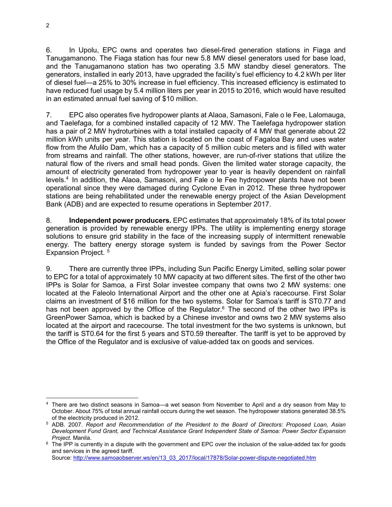6. In Upolu, EPC owns and operates two diesel-fired generation stations in Fiaga and Tanugamanono. The Fiaga station has four new 5.8 MW diesel generators used for base load, and the Tanugamanono station has two operating 3.5 MW standby diesel generators. The generators, installed in early 2013, have upgraded the facility's fuel efficiency to 4.2 kWh per liter of diesel fuel—a 25% to 30% increase in fuel efficiency. This increased efficiency is estimated to have reduced fuel usage by 5.4 million liters per year in 2015 to 2016, which would have resulted in an estimated annual fuel saving of \$10 million.

7. EPC also operates five hydropower plants at Alaoa, Samasoni, Fale o le Fee, Lalomauga, and Taelefaga, for a combined installed capacity of 12 MW. The Taelefaga hydropower station has a pair of 2 MW hydroturbines with a total installed capacity of 4 MW that generate about 22 million kWh units per year. This station is located on the coast of Fagaloa Bay and uses water flow from the Afulilo Dam, which has a capacity of 5 million cubic meters and is filled with water from streams and rainfall. The other stations, however, are run-of-river stations that utilize the natural flow of the rivers and small head ponds. Given the limited water storage capacity, the amount of electricity generated from hydropower year to year is heavily dependent on rainfall levels.<sup>4</sup> In addition, the Alaoa, Samasoni, and Fale o le Fee hydropower plants have not been operational since they were damaged during Cyclone Evan in 2012. These three hydropower stations are being rehabilitated under the renewable energy project of the Asian Development Bank (ADB) and are expected to resume operations in September 2017.

8. **Independent power producers.** EPC estimates that approximately 18% of its total power generation is provided by renewable energy IPPs. The utility is implementing energy storage solutions to ensure grid stability in the face of the increasing supply of intermittent renewable energy. The battery energy storage system is funded by savings from the Power Sector Expansion Project.<sup>5</sup>

9. There are currently three IPPs, including Sun Pacific Energy Limited, selling solar power to EPC for a total of approximately 10 MW capacity at two different sites. The first of the other two IPPs is Solar for Samoa, a First Solar investee company that owns two 2 MW systems: one located at the Faleolo International Airport and the other one at Apia's racecourse. First Solar claims an investment of \$16 million for the two systems. Solar for Samoa's tariff is ST0.77 and has not been approved by the Office of the Regulator.<sup>6</sup> The second of the other two IPPs is GreenPower Samoa, which is backed by a Chinese investor and owns two 2 MW systems also located at the airport and racecourse. The total investment for the two systems is unknown, but the tariff is ST0.64 for the first 5 years and ST0.59 thereafter. The tariff is yet to be approved by the Office of the Regulator and is exclusive of value-added tax on goods and services.

Source: http://www.samoaobserver.ws/en/13\_03\_2017/local/17878/Solar-power-dispute-negotiated.htm

 $\overline{a}$ 

<sup>4</sup> There are two distinct seasons in Samoa—a wet season from November to April and a dry season from May to October. About 75% of total annual rainfall occurs during the wet season. The hydropower stations generated 38.5% of the electricity produced in 2012.

<sup>5</sup> ADB. 2007. *Report and Recommendation of the President to the Board of Directors: Proposed Loan, Asian Development Fund Grant, and Technical Assistance Grant Independent State of Samoa: Power Sector Expansion Project.* Manila.

<sup>&</sup>lt;sup>6</sup> The IPP is currently in a dispute with the government and EPC over the inclusion of the value-added tax for goods and services in the agreed tariff.